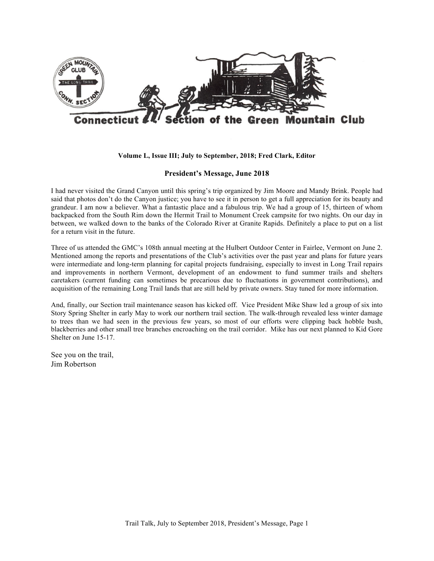

## **Volume L, Issue III; July to September, 2018; Fred Clark, Editor**

# **President's Message, June 2018**

I had never visited the Grand Canyon until this spring's trip organized by Jim Moore and Mandy Brink. People had said that photos don't do the Canyon justice; you have to see it in person to get a full appreciation for its beauty and grandeur. I am now a believer. What a fantastic place and a fabulous trip. We had a group of 15, thirteen of whom backpacked from the South Rim down the Hermit Trail to Monument Creek campsite for two nights. On our day in between, we walked down to the banks of the Colorado River at Granite Rapids. Definitely a place to put on a list for a return visit in the future.

Three of us attended the GMC's 108th annual meeting at the Hulbert Outdoor Center in Fairlee, Vermont on June 2. Mentioned among the reports and presentations of the Club's activities over the past year and plans for future years were intermediate and long-term planning for capital projects fundraising, especially to invest in Long Trail repairs and improvements in northern Vermont, development of an endowment to fund summer trails and shelters caretakers (current funding can sometimes be precarious due to fluctuations in government contributions), and acquisition of the remaining Long Trail lands that are still held by private owners. Stay tuned for more information.

And, finally, our Section trail maintenance season has kicked off. Vice President Mike Shaw led a group of six into Story Spring Shelter in early May to work our northern trail section. The walk-through revealed less winter damage to trees than we had seen in the previous few years, so most of our efforts were clipping back hobble bush, blackberries and other small tree branches encroaching on the trail corridor. Mike has our next planned to Kid Gore Shelter on June 15-17.

See you on the trail, Jim Robertson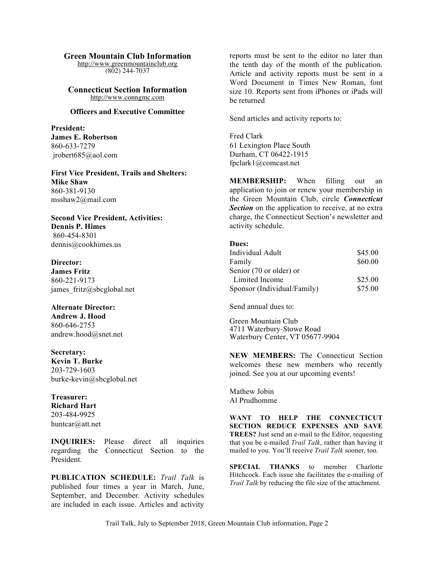#### **Green Mountain Club Information**

http://www.greenmountainclub.org (802) 244-7037

**Connecticut Section Information** http://www.conngmc.com

### **Officers and Executive Committee**

**President: James E. Robertson** 860-633-7279 jrobert685@aol.com

**First Vice President, Trails and Shelters: Mike Shaw** 860-381-9130 msshaw2@mail.com

**Second Vice President, Activities: Dennis P. Himes** 860-454-8301 dennis@cookhimes.us

**Director: James Fritz** 860-221-9173 james fritz@sbcglobal.net

**Alternate Director: Andrew J. Hood** 860-646-2753 andrew.hood@snet.net

**Secretary: Kevin T. Burke** 203-729-1603 burke-kevin@sbcglobal.net

**Treasurer: Richard Hart** 203-484-9925 huntcar@att.net

**INQUIRIES:** Please direct all inquiries regarding the Connecticut Section to the President.

**PUBLICATION SCHEDULE:** *Trail Talk* is published four times a year in March, June, September, and December. Activity schedules are included in each issue. Articles and activity

reports must be sent to the editor no later than the tenth day of the month of the publication. Article and activity reports must be sent in a Word Document in Times New Roman, font size 10. Reports sent from iPhones or iPads will be returned

Send articles and activity reports to:

Fred Clark 61 Lexington Place South Durham, CT 06422-1915 fpclark1@comcast.net

**MEMBERSHIP:** When filling out an application to join or renew your membership in the Green Mountain Club, circle *Connecticut*  **Section** on the application to receive, at no extra charge, the Connecticut Section's newsletter and activity schedule.

#### **Dues:**

| Individual Adult            | \$45.00 |
|-----------------------------|---------|
| Family                      | \$60.00 |
| Senior (70 or older) or     |         |
| Limited Income              | \$25.00 |
| Sponsor (Individual/Family) | \$75.00 |

Send annual dues to:

Green Mountain Club 4711 Waterbury-Stowe Road Waterbury Center, VT 05677-9904

**NEW MEMBERS:** The Connecticut Section welcomes these new members who recently joined. See you at our upcoming events!

Mathew Jobin Al Prudhomme

**WANT TO HELP THE CONNECTICUT SECTION REDUCE EXPENSES AND SAVE TREES?** Just send an e-mail to the Editor, requesting that you be e-mailed *Trail Talk*, rather than having it mailed to you. You'll receive *Trail Talk* sooner, too.

**SPECIAL THANKS** to member Charlotte Hitchcock. Each issue she facilitates the e-mailing of *Trail Talk* by reducing the file size of the attachment.

Trail Talk, July to September 2018, Green Mountain Club information, Page 2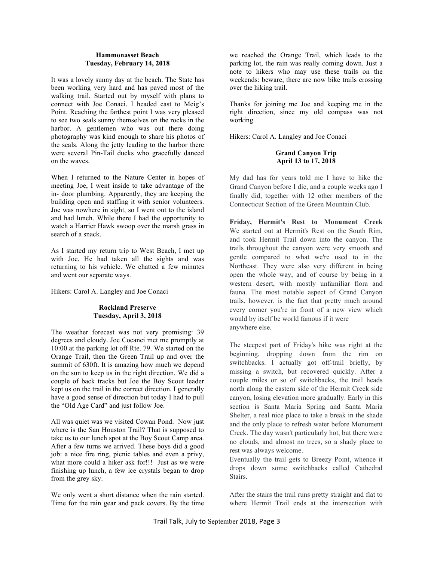## **Hammonasset Beach Tuesday, February 14, 2018**

It was a lovely sunny day at the beach. The State has been working very hard and has paved most of the walking trail. Started out by myself with plans to connect with Joe Conaci. I headed east to Meig's Point. Reaching the farthest point I was very pleased to see two seals sunny themselves on the rocks in the harbor. A gentlemen who was out there doing photography was kind enough to share his photos of the seals. Along the jetty leading to the harbor there were several Pin-Tail ducks who gracefully danced on the waves.

When I returned to the Nature Center in hopes of meeting Joe, I went inside to take advantage of the in- door plumbing. Apparently, they are keeping the building open and staffing it with senior volunteers. Joe was nowhere in sight, so I went out to the island and had lunch. While there I had the opportunity to watch a Harrier Hawk swoop over the marsh grass in search of a snack.

As I started my return trip to West Beach, I met up with Joe. He had taken all the sights and was returning to his vehicle. We chatted a few minutes and went our separate ways.

Hikers: Carol A. Langley and Joe Conaci

# **Rockland Preserve Tuesday, April 3, 2018**

The weather forecast was not very promising: 39 degrees and cloudy. Joe Cocanci met me promptly at 10:00 at the parking lot off Rte. 79. We started on the Orange Trail, then the Green Trail up and over the summit of 630ft. It is amazing how much we depend on the sun to keep us in the right direction. We did a couple of back tracks but Joe the Boy Scout leader kept us on the trail in the correct direction. I generally have a good sense of direction but today I had to pull the "Old Age Card" and just follow Joe.

All was quiet was we visited Cowan Pond. Now just where is the San Houston Trail? That is supposed to take us to our lunch spot at the Boy Scout Camp area. After a few turns we arrived. These boys did a good job: a nice fire ring, picnic tables and even a privy, what more could a hiker ask for!!! Just as we were finishing up lunch, a few ice crystals began to drop from the grey sky.

We only went a short distance when the rain started. Time for the rain gear and pack covers. By the time we reached the Orange Trail, which leads to the parking lot, the rain was really coming down. Just a note to hikers who may use these trails on the weekends: beware, there are now bike trails crossing over the hiking trail.

Thanks for joining me Joe and keeping me in the right direction, since my old compass was not working.

Hikers: Carol A. Langley and Joe Conaci

# **Grand Canyon Trip April 13 to 17, 2018**

My dad has for years told me I have to hike the Grand Canyon before I die, and a couple weeks ago I finally did, together with 12 other members of the Connecticut Section of the Green Mountain Club.

**Friday, Hermit's Rest to Monument Creek** We started out at Hermit's Rest on the South Rim, and took Hermit Trail down into the canyon. The trails throughout the canyon were very smooth and gentle compared to what we're used to in the Northeast. They were also very different in being open the whole way, and of course by being in a western desert, with mostly unfamiliar flora and fauna. The most notable aspect of Grand Canyon trails, however, is the fact that pretty much around every corner you're in front of a new view which would by itself be world famous if it were anywhere else.

The steepest part of Friday's hike was right at the beginning, dropping down from the rim on switchbacks. I actually got off-trail briefly, by missing a switch, but recovered quickly. After a couple miles or so of switchbacks, the trail heads north along the eastern side of the Hermit Creek side canyon, losing elevation more gradually. Early in this section is Santa Maria Spring and Santa Maria Shelter, a real nice place to take a break in the shade and the only place to refresh water before Monument Creek. The day wasn't particularly hot, but there were no clouds, and almost no trees, so a shady place to rest was always welcome.

Eventually the trail gets to Breezy Point, whence it drops down some switchbacks called Cathedral Stairs.

After the stairs the trail runs pretty straight and flat to where Hermit Trail ends at the intersection with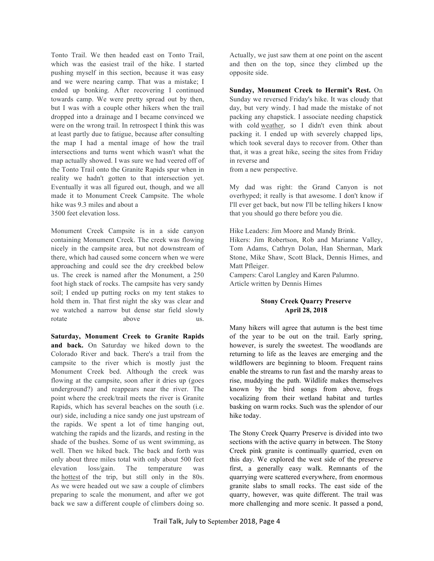Tonto Trail. We then headed east on Tonto Trail, which was the easiest trail of the hike. I started pushing myself in this section, because it was easy and we were nearing camp. That was a mistake; I ended up bonking. After recovering I continued towards camp. We were pretty spread out by then, but I was with a couple other hikers when the trail dropped into a drainage and I became convinced we were on the wrong trail. In retrospect I think this was at least partly due to fatigue, because after consulting the map I had a mental image of how the trail intersections and turns went which wasn't what the map actually showed. I was sure we had veered off of the Tonto Trail onto the Granite Rapids spur when in reality we hadn't gotten to that intersection yet. Eventually it was all figured out, though, and we all made it to Monument Creek Campsite. The whole hike was 9.3 miles and about a 3500 feet elevation loss.

Monument Creek Campsite is in a side canyon containing Monument Creek. The creek was flowing nicely in the campsite area, but not downstream of there, which had caused some concern when we were approaching and could see the dry creekbed below us. The creek is named after the Monument, a 250 foot high stack of rocks. The campsite has very sandy soil; I ended up putting rocks on my tent stakes to hold them in. That first night the sky was clear and we watched a narrow but dense star field slowly rotate above us.

**Saturday, Monument Creek to Granite Rapids and back.** On Saturday we hiked down to the Colorado River and back. There's a trail from the campsite to the river which is mostly just the Monument Creek bed. Although the creek was flowing at the campsite, soon after it dries up (goes underground?) and reappears near the river. The point where the creek/trail meets the river is Granite Rapids, which has several beaches on the south (i.e. our) side, including a nice sandy one just upstream of the rapids. We spent a lot of time hanging out, watching the rapids and the lizards, and resting in the shade of the bushes. Some of us went swimming, as well. Then we hiked back. The back and forth was only about three miles total with only about 500 feet elevation loss/gain. The temperature was the hottest of the trip, but still only in the 80s. As we were headed out we saw a couple of climbers preparing to scale the monument, and after we got back we saw a different couple of climbers doing so.

Actually, we just saw them at one point on the ascent and then on the top, since they climbed up the opposite side.

**Sunday, Monument Creek to Hermit's Rest.** On Sunday we reversed Friday's hike. It was cloudy that day, but very windy. I had made the mistake of not packing any chapstick. I associate needing chapstick with cold weather, so I didn't even think about packing it. I ended up with severely chapped lips, which took several days to recover from. Other than that, it was a great hike, seeing the sites from Friday in reverse and

from a new perspective.

My dad was right: the Grand Canyon is not overhyped; it really is that awesome. I don't know if I'll ever get back, but now I'll be telling hikers I know that you should go there before you die.

Hike Leaders: Jim Moore and Mandy Brink. Hikers: Jim Robertson, Rob and Marianne Valley, Tom Adams, Cathryn Dolan, Han Sherman, Mark Stone, Mike Shaw, Scott Black, Dennis Himes, and Matt Pfleiger.

Campers: Carol Langley and Karen Palumno. Article written by Dennis Himes

# **Stony Creek Quarry Preserve April 28, 2018**

Many hikers will agree that autumn is the best time of the year to be out on the trail. Early spring, however, is surely the sweetest. The woodlands are returning to life as the leaves are emerging and the wildflowers are beginning to bloom. Frequent rains enable the streams to run fast and the marshy areas to rise, muddying the path. Wildlife makes themselves known by the bird songs from above, frogs vocalizing from their wetland habitat and turtles basking on warm rocks. Such was the splendor of our hike today.

The Stony Creek Quarry Preserve is divided into two sections with the active quarry in between. The Stony Creek pink granite is continually quarried, even on this day. We explored the west side of the preserve first, a generally easy walk. Remnants of the quarrying were scattered everywhere, from enormous granite slabs to small rocks. The east side of the quarry, however, was quite different. The trail was more challenging and more scenic. It passed a pond,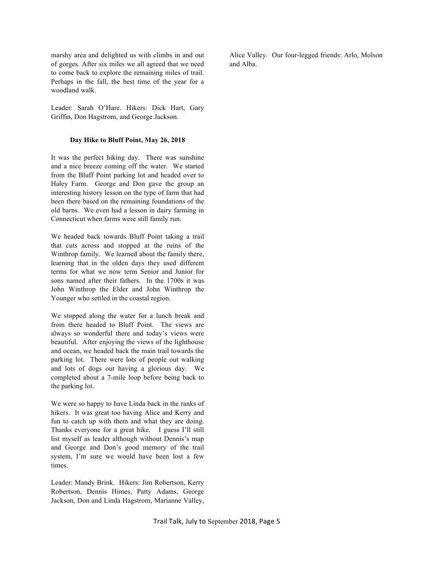marshy area and delighted us with climbs in and out of gorges. After six miles we all agreed that we need to come back to explore the remaining miles of trail. Perhaps in the fall, the best time of the year for a woodland walk.

Leader: Sarah O'Hare. Hikers: Dick Hart, Gary Griffin, Don Hagstrom, and George Jackson.

## **Day Hike to Bluff Point, May 26, 2018**

It was the perfect hiking day. There was sunshine and a nice breeze coming off the water. We started from the Bluff Point parking lot and headed over to Haley Farm. George and Don gave the group an interesting history lesson on the type of farm that had been there based on the remaining foundations of the old barns. We even had a lesson in dairy farming in Connecticut when farms were still family run.

We headed back towards Bluff Point taking a trail that cuts across and stopped at the ruins of the Winthrop family. We learned about the family there, learning that in the olden days they used different terms for what we now term Senior and Junior for sons named after their fathers. In the 1700s it was John Winthrop the Elder and John Winthrop the Younger who settled in the coastal region.

We stopped along the water for a lunch break and from there headed to Bluff Point. The views are always so wonderful there and today's views were beautiful. After enjoying the views of the lighthouse and ocean, we headed back the main trail towards the parking lot. There were lots of people out walking and lots of dogs out having a glorious day. We completed about a 7-mile loop before being back to the parking lot.

We were so happy to have Linda back in the ranks of hikers. It was great too having Alice and Kerry and fun to catch up with them and what they are doing. Thanks everyone for a great hike. I guess I'll still list myself as leader although without Dennis's map and George and Don's good memory of the trail system, I'm sure we would have been lost a few times.

Leader: Mandy Brink. Hikers: Jim Robertson, Kerry Robertson, Dennis Himes, Patty Adams, George Jackson, Don and Linda Hagstrom, Marianne Valley, Alice Valley. Our four-legged friends: Arlo, Molson and Alba.